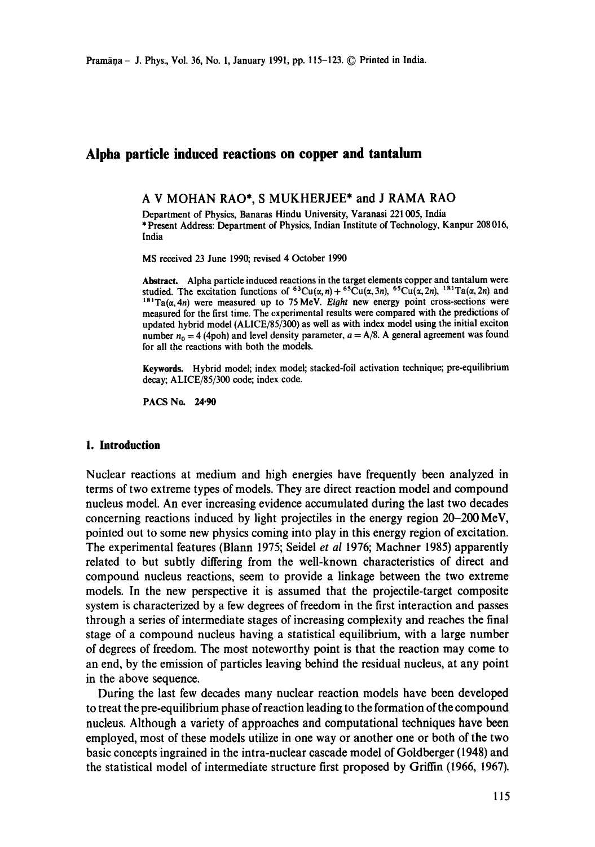# **Alpha particle induced reactions on copper and tantalum**

A V MOHAN RAO\*, S MUKHERJEE\* and J RAMA RAO

Department of Physics, Banaras Hindu University, Varanasi 221005, India \* Present Address: Department of Physics, Indian Institute of Technology, Kanpur 208 016, India

MS received 23 June 1990; revised 4 October 1990

**Abstract.** Alpha particle induced reactions in the target elements copper and tantalum were studied. The excitation functions of  ${}^{63}Cu(\alpha,\eta) + {}^{65}Cu(\alpha,3\eta)$ ,  ${}^{65}Cu(\alpha,2\eta)$ ,  ${}^{181}Ta(\alpha,2\eta)$  and  $t^{18}$ Ta( $\alpha$ , 4n) were measured up to 75 MeV. *Eight* new energy point cross-sections were measured for the first time. The experimental results were compared with the predictions of updated hybrid model (ALICE/85/300) as well as with index model using the initial exciton number  $n_0 = 4$  (4poh) and level density parameter,  $a = A/8$ . A general agreement was found for all the reactions with both the models.

**Keywords.** Hybrid model; index model; stacked-foil activation technique; pre-equilibrium decay; ALICE/85/300 code; index code.

PACS No. **24.90** 

#### **I. Introduction**

Nuclear reactions at medium and high energies have frequently been analyzed in terms of two extreme types of models. They are direct reaction model and compound nucleus model. An ever increasing evidence accumulated during the last two decades concerning reactions induced by light projectiles in the energy region 20-200 MeV, pointed out to some new physics coming into play in this energy region of excitation. The experimental features (Blann 1975; Seidel *et al* 1976; Machner 1985) apparently related to but subtly differing from the well-known characteristics of direct and compound nucleus reactions, seem to provide a linkage between the two extreme models. In the new perspective it is assumed that the projectile-target composite system is characterized by a few degrees of freedom in the first interaction and passes through a series of intermediate stages of increasing complexity and reaches the final stage of a compound nucleus having a statistical equilibrium, with a large number of degrees of freedom. The most noteworthy point is that the reaction may come to an end, by the emission of particles leaving behind the residual nucleus, at any point in the above sequence.

During the last few decades many nuclear reaction models have been developed to treat the pre-equilibrium phase of reaction leading to the formation of the compound nucleus. Although a variety of approaches and computational techniques have been employed, most of these models utilize in one way or another one or both of the two basic concepts ingrained in the intra-nuclear cascade model of Goldberger (1948) and the statistical model of intermediate structure first proposed by Griffin (1966, 1967).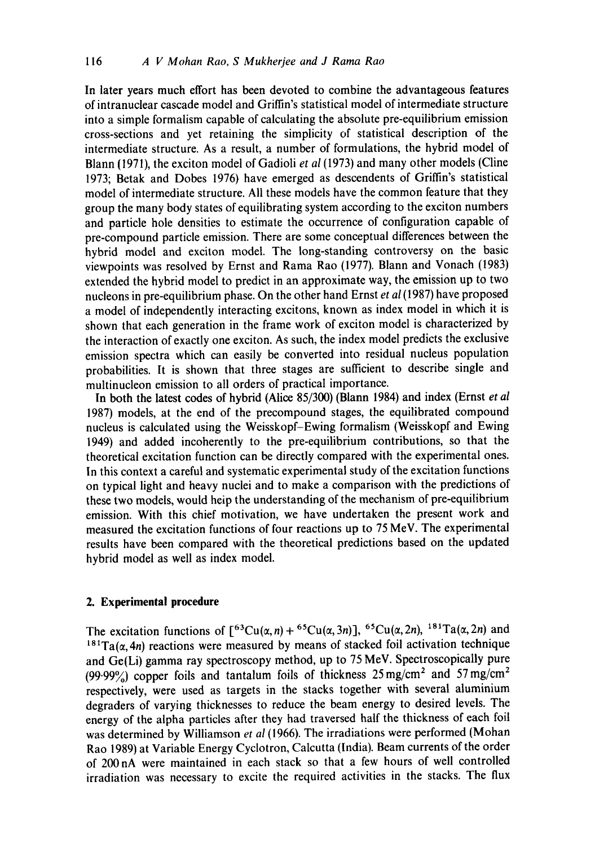In later years much effort has been devoted to combine the advantageous features of intranuclear cascade model and Griffin's statistical model of intermediate structure into a simple formalism capable of calculating the absolute pre-equilibrium emission cross-sections and yet retaining the simplicity of statistical description of the intermediate structure. As a result, a number of formulations, the hybrid model of Blann (1971), the exciton model of Gadioli *et al* (1973) and many other models (Cline 1973; Betak and Dobes 1976) have emerged as descendents of Griffin's statistical model of intermediate structure. All these models have the common feature that they group the many body states of equilibrating system according to the exciton numbers and particle hole densities to estimate the occurrence of configuration capable of pre-compound particle emission. There are some conceptual differences between the hybrid model and exciton model. The long-standing controversy on the basic viewpoints was resolved by Ernst and Rama Rao (1977). Blann and Vonach (1983) extended the hybrid model to predict in an approximate way, the emission up to two nucleons in pre-equilibrium phase. On the other hand Ernst *et al* (1987) have proposed a model of independently interacting excitons, known as index model in which it is shown that each generation in the frame work of exciton model is characterized by the interaction of exactly one exciton. As such, the index model predicts the exclusive emission spectra which can easily be converted into residual nucleus population probabilities. It is shown that three stages are sufficient to describe single and multinucleon emission to all orders of practical importance.

In both the latest codes of hybrid (Alice 85/300) (Blann 1984) and index (Ernst *et al*  1987) models, at the end of the precompound stages, the equilibrated compound nucleus is calculated using the Weisskopf-Ewing formalism (Weisskopf and Ewing 1949) and added incoherently to the pre-equilibrium contributions, so that the theoretical excitation function can be directly compared with the experimental ones. In this context a careful and systematic experimental study of the excitation functions on typical light and heavy nuclei and to make a comparison with the predictions of these two models, would heip the understanding of the mechanism of pre-equilibrium emission. With this chief motivation, we have undertaken the present work and measured the excitation functions of four reactions up to 75 MeV. The experimental results have been compared with the theoretical predictions based on the updated hybrid model as well as index model.

#### **2. Experimental procedure**

The excitation functions of  $[{}^{63}Cu(\alpha,n)+{}^{65}Cu(\alpha,3n)]$ ,  ${}^{65}Cu(\alpha,2n)$ ,  ${}^{181}Ta(\alpha,2n)$  and <sup>181</sup>Ta( $\alpha$ , 4n) reactions were measured by means of stacked foil activation technique and Ge(Li) gamma ray spectroscopy method, up to 75 MeV. Spectroscopically pure (99.99%) copper foils and tantalum foils of thickness  $25 \text{ mg/cm}^2$  and  $57 \text{ mg/cm}^2$ respectively, were used as targets in the stacks together with several aluminium degraders of varying thicknesses to reduce the beam energy to desired levels. The energy of the alpha particles after they had traversed half the thickness of each foil was determined by Williamson *et al* (1966). The irradiations were performed (Mohan Rao 1989) at Variable Energy Cyclotron, Calcutta (India). Beam currents of the order of 200nA were maintained in each stack so that a few hours of well controlled irradiation was necessary to excite the required activities in the stacks. The flux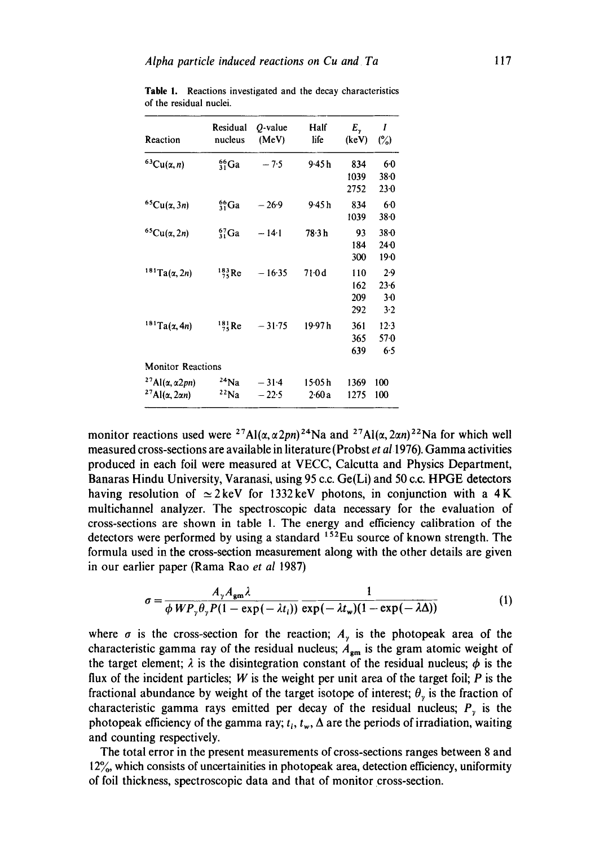| Reaction                                                               | Residual<br>nucleus | $O$ -value<br>(MeV) | Half<br>life     | E.,<br>(keV)             | Ι<br>$(\%)$                   |
|------------------------------------------------------------------------|---------------------|---------------------|------------------|--------------------------|-------------------------------|
| ${}^{63}Cu(x, n)$                                                      | $^{66}_{31}Ga$      | $-7.5$              | 9-45h            | 834<br>1039<br>2752      | 6.0<br>$38 - 0$<br>$23-0$     |
| ${}^{65}Cu(x,3n)$                                                      | ${}^{66}_{31}Ga$    | $-26.9$             | 9.45h            | 834<br>1039              | 60<br>$38 - 0$                |
| ${}^{65}Cu(\alpha,2n)$                                                 | $^{67}_{31}Ga$      | $-14.1$             | 78-3 h           | 93<br>184<br>300         | $38 - 0$<br>$24-0$<br>190     |
| $181$ Ta( $\alpha$ , 2n)                                               | $^{183}_{75}$ Re    | $-16.35$            | 71.0d            | 110<br>162<br>209<br>292 | 2.9<br>$23-6$<br>$3-0$<br>3.2 |
| $181$ Ta(x, 4n)                                                        | $^{181}_{75}$ Re    | $-31.75$            | 19.97 h          | 361<br>365<br>639        | 12.3<br>570<br>6.5            |
| <b>Monitor Reactions</b>                                               |                     |                     |                  |                          |                               |
| $27$ Al( $\alpha$ , $\alpha$ 2pn)<br>$27$ Al( $\alpha$ , 2 $\alpha$ n) | $24$ Na<br>22Na     | $-31.4$<br>$-22.5$  | 15·05 h<br>2.60a | 1369<br>1275             | 100<br>100                    |

**Table** 1. Reactions investigated and the decay characteristics of the residual nuclei.

monitor reactions used were <sup>27</sup>Al( $\alpha$ ,  $\alpha$ 2pn)<sup>24</sup>Na and <sup>27</sup>Al( $\alpha$ , 2 $\alpha$ n)<sup>22</sup>Na for which well measured cross-sections are available in literature (Probst *et al* 1976). Gamma activities produced in each foil were measured at VECC, Calcutta and Physics Department, Banaras Hindu University, Varanasi, using 95 c.c. Ge(Li) and 50 c.c. HPGE detectors having resolution of  $\simeq$  2 keV for 1332 keV photons, in conjunction with a 4 K multichannel analyzer. The spectroscopic data necessary for the evaluation of cross-sections are shown in table I. The energy and efficiency calibration of the detectors were performed by using a standard  $152$ Eu source of known strength. The formula used in the cross-section measurement along with the other details are given in our earlier paper (Rama Rao *et al* 1987)

$$
\sigma = \frac{A_{\gamma}A_{\rm gm}\lambda}{\phi\,WP_{\gamma}\theta_{\gamma}P(1-\exp(-\lambda t_i))}\frac{1}{\exp(-\lambda t_w)(1-\exp(-\lambda\Delta))}
$$
(1)

where  $\sigma$  is the cross-section for the reaction;  $A_{\nu}$  is the photopeak area of the characteristic gamma ray of the residual nucleus;  $A_{gm}$  is the gram atomic weight of the target element;  $\lambda$  is the disintegration constant of the residual nucleus;  $\phi$  is the flux of the incident particles; W is the weight per unit area of the target foil;  $P$  is the fractional abundance by weight of the target isotope of interest;  $\theta_{y}$  is the fraction of characteristic gamma rays emitted per decay of the residual nucleus;  $P<sub>v</sub>$  is the photopeak efficiency of the gamma ray;  $t_i$ ,  $t_w$ ,  $\Delta$  are the periods of irradiation, waiting and counting respectively.

The total error in the present measurements of cross-sections ranges between 8 and 12%, which consists of uncertainities in photopeak area, detection efficiency, uniformity of foil thickness, spectroscopic data and that of monitor cross-section.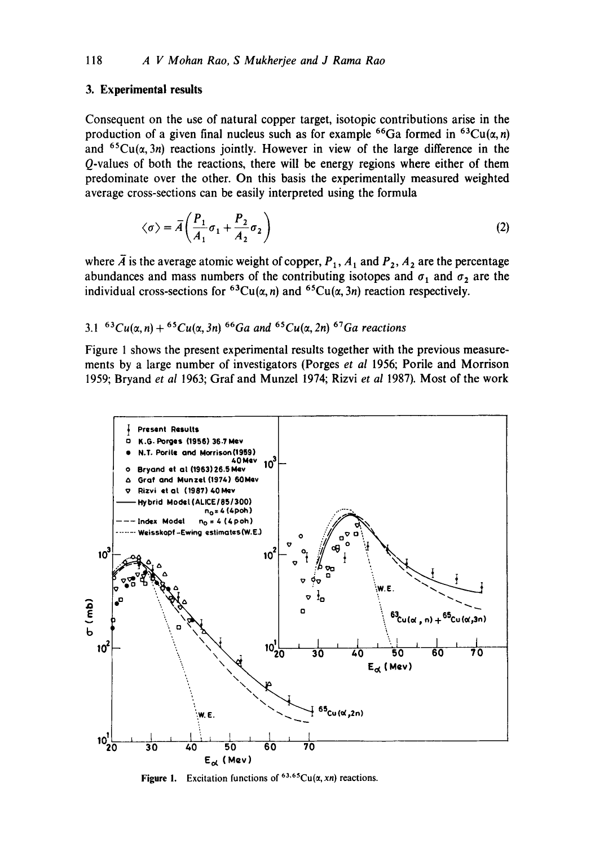### **3. Experimental results**

Consequent on the use of natural copper target, isotopic contributions arise in the production of a given final nucleus such as for example <sup>66</sup>Ga formed in <sup>63</sup>Cu( $\alpha$ , n) and <sup>65</sup>Cu( $\alpha$ , 3n) reactions jointly. However in view of the large difference in the Q-values of both the reactions, there will be energy regions where either of them predominate over the other. On this basis the experimentally measured weighted average cross-sections can be easily interpreted using the formula

$$
\langle \sigma \rangle = \bar{A} \left( \frac{P_1}{A_1} \sigma_1 + \frac{P_2}{A_2} \sigma_2 \right) \tag{2}
$$

where  $\overline{A}$  is the average atomic weight of copper,  $P_1$ ,  $A_1$  and  $P_2$ ,  $A_2$  are the percentage abundances and mass numbers of the contributing isotopes and  $\sigma_1$  and  $\sigma_2$  are the individual cross-sections for <sup>63</sup>Cu( $\alpha$ , n) and <sup>65</sup>Cu( $\alpha$ , 3n) reaction respectively.

# 3.1  $^{63}Cu(\alpha, n) + ^{65}Cu(\alpha, 3n)$   $^{66}Ga$  and  $^{65}Cu(\alpha, 2n)$   $^{67}Ga$  reactions

Figure 1 shows the present experimental results together with the previous measurements by a large number of investigators (Porges *et al* 1956; Porile and Morrison 1959; Bryand *et al* 1963; Graf and Munzel 1974; Rizvi *et al* 1987). Most of the work



**Figure 1.** Excitation functions of  $63.65Cu(x, xn)$  reactions.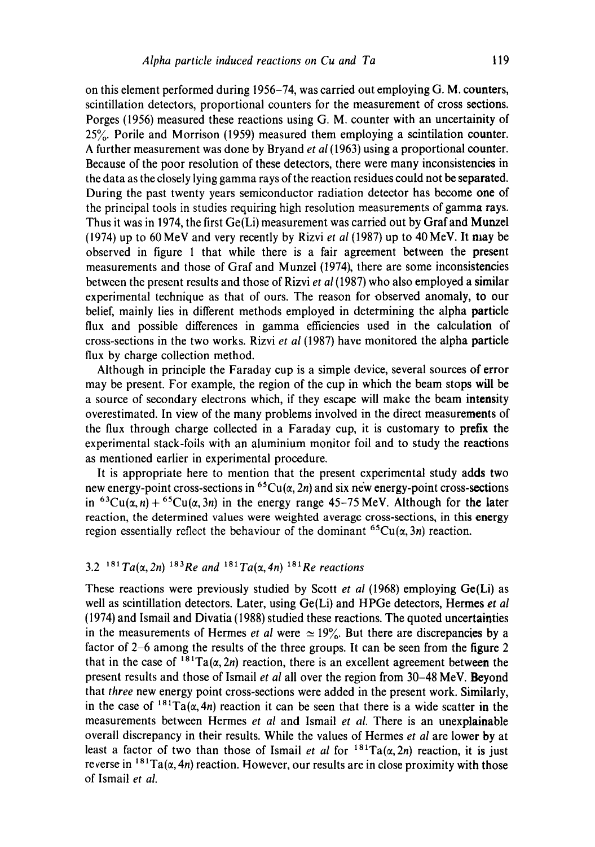on this element performed during 1956-74, was carried out employing G. M. counters, scintillation detectors, proportional counters for the measurement of cross sections. Porges (1956) measured these reactions using G. M. counter with an uncertainity of 25~. Porile and Morrison (1959) measured them employing a scintilation counter. A further measurement was done by Bryand *et al* (1963) using a proportional counter. Because of the poor resolution of these detectors, there were many inconsistencies in the data as the closely lying gamma rays of the reaction residues could not be separated. During the past twenty years semiconductor radiation detector has become one of the principal tools in studies requiring high resolution measurements of gamma rays. Thus it was in 1974, the first Ge(Li) measurement was carried out by Graf and Munzel (1974) up to 60 MeV and very recently by Rizvi *et al* (1987) up to 40 MeV. It may be observed in figure 1 that while there is a fair agreement between the present measurements and those of Graf and Munzel (1974), there are some inconsistencies between the present results and those of Rizvi *et al* (1987) who also employed a similar experimental technique as that of ours. The reason for observed anomaly, to our belief, mainly lies in different methods employed in determining the alpha particle flux and possible differences in gamma efficiencies used in the calculation of cross-sections in the two works. Rizvi *et al* (1987) have monitored the alpha particle flux by charge collection method.

Although in principle the Faraday cup is a simple device, several sources of error may be present. For example, the region of the cup in which the beam stops will be a source of secondary electrons which, if they escape will make the beam intensity overestimated. In view of the many problems involved in the direct measurements of the flux through charge collected in a Faraday cup, it is customary to prefix the experimental stack-foils with an aluminium monitor foil and to study the reactions as mentioned earlier in experimental procedure.

It is appropriate here to mention that the present experimental study adds two new energy-point cross-sections in <sup>65</sup>Cu( $\alpha$ , 2n) and six new energy-point cross-sections in <sup>63</sup>Cu( $\alpha$ , n) + <sup>65</sup>Cu( $\alpha$ , 3n) in the energy range 45-75 MeV. Although for the later reaction, the determined values were weighted average cross-sections, in this energy region essentially reflect the behaviour of the dominant <sup>65</sup>Cu( $\alpha$ , 3n) reaction.

# 3.2 <sup>181</sup>  $Ta(\alpha, 2n)$  <sup>183</sup>Re and <sup>181</sup>  $Ta(\alpha, 4n)$  <sup>181</sup>Re reactions

These reactions were previously studied by Scott *et al* (1968) employing Ge(Li) as well as scintillation detectors. Later, using Ge(Li) and HPGe detectors, Hermes *et al*  (1974) and Ismail and Divatia (1988) studied these reactions. The quoted uncertainties in the measurements of Hermes *et al* were  $\simeq 19\%$ . But there are discrepancies by a factor of 2-6 among the results of the three groups. It can be seen from the figure 2 that in the case of  $^{181}Ta(\alpha, 2n)$  reaction, there is an excellent agreement between the present results and those of Ismail *et al* all over the region from 30-48 MeV. Beyond that *three* new energy point cross-sections were added in the present work. Similarly, in the case of  $181Ta(\alpha,4n)$  reaction it can be seen that there is a wide scatter in the measurements between Hermes *et al* and Ismail *et al.* There is an unexplainable overall discrepancy in their results. While the values of Hermes *et al* are lower by at least a factor of two than those of Ismail *et al* for  $181 \text{ Ta}(\alpha, 2n)$  reaction, it is just reverse in  $181 \text{ Ta}(\alpha, 4n)$  reaction. However, our results are in close proximity with those of lsmail *et al.*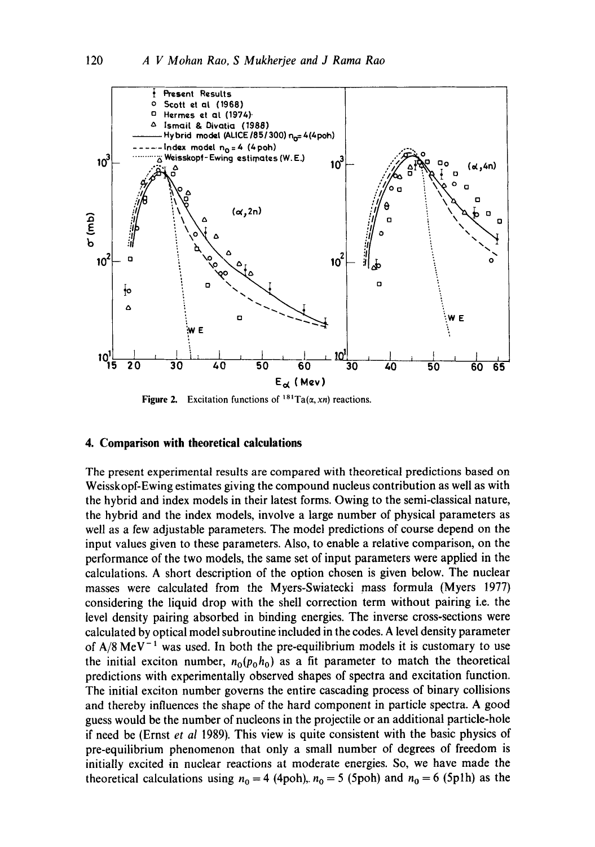

**Figure 2.** Excitation functions of  $^{181}Ta(x, xn)$  reactions.

### **4. Comparison with theoretical calculations**

The present experimental results are compared with theoretical predictions based on Weisskopf-Ewing estimates giving the compound nucleus contribution as well as with the hybrid and index models in their latest forms. Owing to the semi-classical nature, the hybrid and the index models, involve a large number of physical parameters as well as a few adjustable parameters. The model predictions of course depend on the input values given to these parameters. Also, to enable a relative comparison, on the performance of the two models, the same set of input parameters were applied in the calculations. A short description of the option chosen is given below. The nuclear masses were calculated from the Myers-Swiatecki mass formula (Myers 1977) considering the liquid drop with the shell correction term without pairing i.e. the level density pairing absorbed in binding energies. The inverse cross-sections were calculated by optical model subroutine included in the codes. A level density parameter of  $A/8$  MeV<sup>-1</sup> was used. In both the pre-equilibrium models it is customary to use the initial exciton number,  $n_0(p_0, h_0)$  as a fit parameter to match the theoretical predictions with experimentally observed shapes of spectra and excitation function. The initial exciton number governs the entire cascading process of binary collisions and thereby influences the shape of the hard component in particle spectra. A good guess would be the number of nucleons in the projectile or an additional particle-hole if need be (Ernst *et al* 1989). This view is quite consistent with the basic physics of pre-equilibrium phenomenon that only a small number of degrees of freedom is initially excited in nuclear reactions at moderate energies. So, we have made the theoretical calculations using  $n_0 = 4$  (4poh),  $n_0 = 5$  (5poh) and  $n_0 = 6$  (5p1h) as the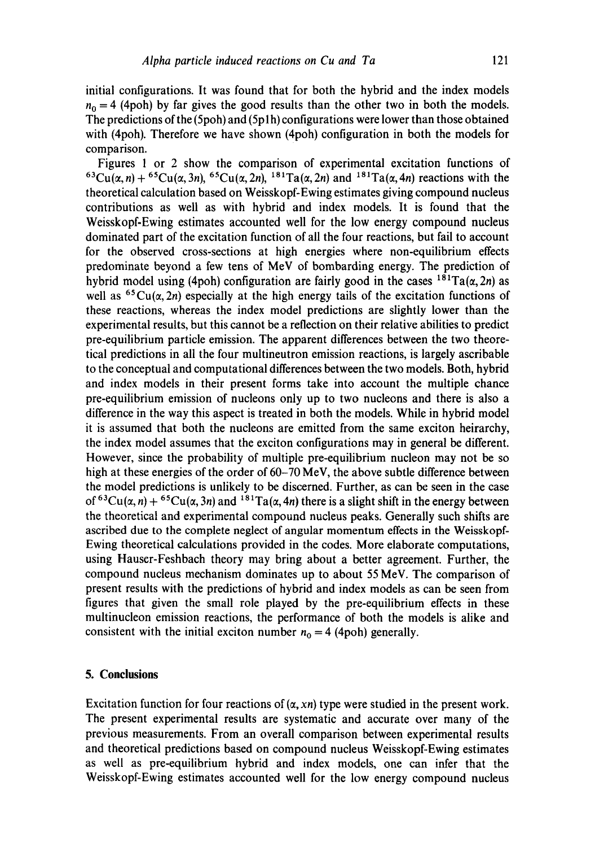initial configurations. It was found that for both the hybrid and the index models  $n_0 = 4$  (4poh) by far gives the good results than the other two in both the models. The predictions of the (5poh) and (5p1h) configurations were lower than those obtained with (4poh). Therefore we have shown (4poh) configuration in both the models for comparison.

Figures 1 or 2 show the comparison of experimental excitation functions of  ${}^{63}Cu(\alpha, n) + {}^{65}Cu(\alpha, 3n)$ ,  ${}^{65}Cu(\alpha, 2n)$ ,  ${}^{181}Ta(\alpha, 2n)$  and  ${}^{181}Ta(\alpha, 4n)$  reactions with the theoretical calculation based on Weisskopf-Ewing estimates giving compound nucleus contributions as well as with hybrid and index models. It is found that the Weisskopf-Ewing estimates accounted well for the low energy compound nucleus dominated part of the excitation function of all the four reactions, but fail to account for the observed cross-sections at high energies where non-equilibrium effects predominate beyond a few tens of MeV of bombarding energy. The prediction of hybrid model using (4poh) configuration are fairly good in the cases  $1^{8}$ <sup>1</sup>Ta( $\alpha$ , 2n) as well as <sup>65</sup>Cu( $\alpha$ , 2n) especially at the high energy tails of the excitation functions of these reactions, whereas the index model predictions are slightly lower than the experimental results, but this cannot be a reflection on their relative abilities to predict pre-equilibrium particle emission. The apparent differences between the two theoretical predictions in all the four multineutron emission reactions, is largely ascribable to the conceptual and computational differences between the two models. Both, hybrid and index models in their present forms take into account the multiple chance pre-equilibrium emission of nucleons only up to two nucleons and there is also a difference in the way this aspect is treated in both the models. While in hybrid model it is assumed that both the nucleons are emitted from the same exciton heirarchy, the index model assumes that the exciton configurations may in general be different. However, since the probability of multiple pre-equilibrium nucleon may not be so high at these energies of the order of 60-70 MeV, the above subtle difference between the model predictions is unlikely to be discerned. Further, as can be seen in the case of <sup>63</sup>Cu( $\alpha$ , n) + <sup>65</sup>Cu( $\alpha$ , 3n) and <sup>181</sup>Ta( $\alpha$ , 4n) there is a slight shift in the energy between the theoretical and experimental compound nucleus peaks. Generally such shifts are ascribed due to the complete neglect of angular momentum effects in the Weisskopf-Ewing theoretical calculations provided in the codes. More elaborate computations, using Hauscr-Feshbach theory may bring about a better agreement. Further, the compound nucleus mechanism dominates up to about 55 MeV. The comparison of present results with the predictions of hybrid and index models as can be seen from figures that given the small role played by the pre-equilibrium effects in these multinucleon emission reactions, the performance of both the models is alike and consistent with the initial exciton number  $n_0 = 4$  (4poh) generally.

### **5. Conclusions**

Excitation function for four reactions of  $(\alpha, x_n)$  type were studied in the present work. The present experimental results are systematic and accurate over many of the previous measurements. From an overall comparison between experimental results and theoretical predictions based on compound nucleus Weisskopf-Ewing estimates as well as pre-equilibrium hybrid and index models, one can infer that the Weisskopf-Ewing estimates accounted well for the low energy compound nucleus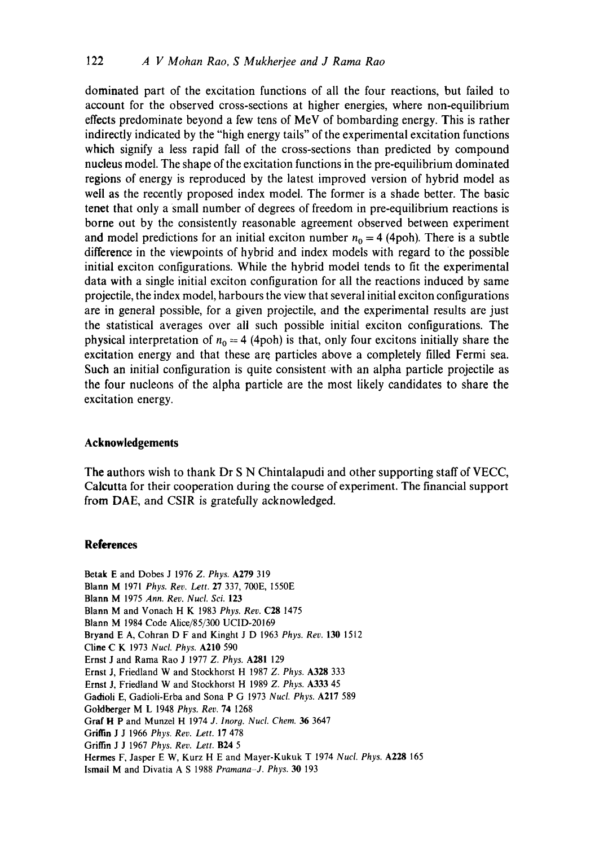dominated part of the excitation functions of all the four reactions, but failed to account for the observed cross-sections at higher energies, where non-equilibrium effects predominate beyond a few tens of MeV of bombarding energy. This is rather indirectly indicated by the "high energy tails" of the experimental excitation functions which signify a less rapid fall of the cross-sections than predicted by compound nucleus model. The shape of the excitation functions in the pre-equilibrium dominated regions of energy is reproduced by the latest improved version of hybrid model as well as the recently proposed index model. The former is a shade better. The basic tenet that only a small number of degrees of freedom in pre-equilibrium reactions is borne out by the consistently reasonable agreement observed between experiment and model predictions for an initial exciton number  $n_0 = 4$  (4poh). There is a subtle difference in the viewpoints of hybrid and index models with regard to the possible initial exciton configurations. While the hybrid model tends to fit the experimental data with a single initial exciton configuration for all the reactions induced by same projectile, the index model, harbours the view that several initial exciton configurations are in general possible, for a given projectile, and the experimental results are just the statistical averages over all such possible initial exciton configurations. The physical interpretation of  $n_0 = 4$  (4poh) is that, only four excitons initially share the excitation energy and that these are particles above a completely filled Fermi sea. Such an initial configuration is quite consistent with an alpha particle projectile as the four nucleons of the alpha particle are the most likely candidates to share the excitation energy.

### **Acknowledgements**

The authors wish to thank Dr S N Chintalapudi and other supporting staff of VECC, Calcutta for their cooperation during the course of experiment. The financial support from DAE, and CSIR is gratefully acknowledged.

#### **References**

Betak E and Dobes J 1976 *Z. Phys.* A279 319 Blann M 1971 *Phys. Rev. Lett.* 27 337, 700E, 1550E Blann M 1975 *Ann. Rev. Nucl. Sci.* 123 Blann M and Vonach H K 1983 *Phys. Rev.* C28 1475 Blann M 1984 Code Alice/85/300 UCID-20169 Bryand E A, Cohran D F and Kinght J D 1963 *Phys. Rev.* 130 1512 Cline C K 1973 *Nucl. Phys.* A210 590 Ernst J and Rama Rao J 1977 *Z. Phys.* A281 129 Ernst J, Friedland W and Stockhorst H 1987 *Z. Phys.* A328 333 Ernst J, Friedland W and Stockhorst H 1989 *Z. Phys.* A333 45 Gadioli E, Gadioli-Erba and Sona P G 1973 *Nucl. Phys.* A217 589 Goldberger M L 1948 *Phys. Rev.* 74 1268 Graf H P and Munzel H 1974 *J. Inorg. Nucl. Chem. 36* 3647 Griffin J J 1966 *Phys. Rev. Lett.* 17 478 Griffin J J 1967 *Phys. Rev. Lett.* B24 5 Hermes F, Jasper E W, Kurz H E and Mayer-Kukuk T 1974 *Nucl. Phys.* A228 165 Ismai| M and Divatia A S 1988 *Pramana-J. Phys.* 30 193